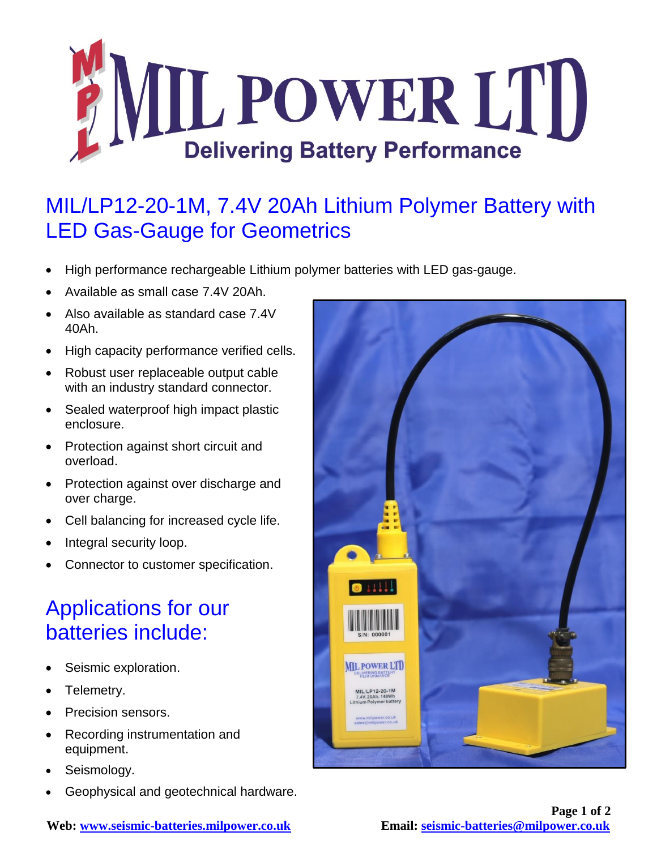

## MIL/LP12-20-1M, 7.4V 20Ah Lithium Polymer Battery with LED Gas-Gauge for Geometrics

- High performance rechargeable Lithium polymer batteries with LED gas-gauge.
- Available as small case 7.4V 20Ah.
- Also available as standard case 7.4V 40Ah.
- High capacity performance verified cells.
- Robust user replaceable output cable with an industry standard connector.
- Sealed waterproof high impact plastic enclosure.
- Protection against short circuit and overload.
- Protection against over discharge and over charge.
- Cell balancing for increased cycle life.
- Integral security loop.
- Connector to customer specification.

## Applications for our batteries include:

- Seismic exploration.
- Telemetry.
- Precision sensors.
- Recording instrumentation and equipment.
- Seismology.
- Geophysical and geotechnical hardware.



**Web: [www.seismic-batteries.milpower.co.uk](http://www.seismic-batteries.milpower.co.uk/) Email: [seismic-batteries@milpower.co.uk](mailto:seismic-batteries@milpower.co.uk)**